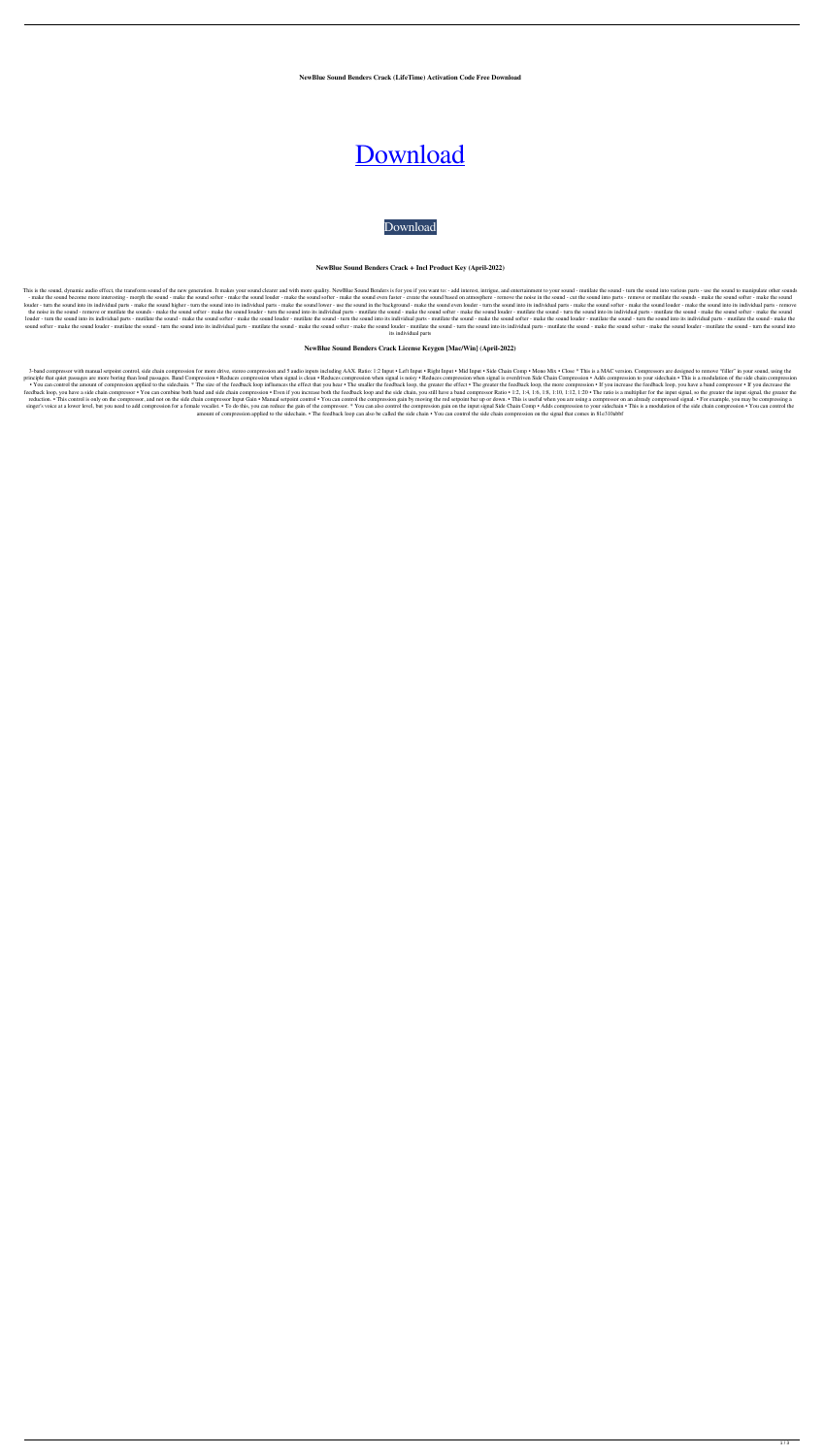**NewBlue Sound Benders Crack (LifeTime) Activation Code Free Download**



[Download](http://evacdir.com/farmer.ZG93bmxvYWR8eGc1TW5sMU5ueDhNVFkxTkRRek5qWTFPSHg4TWpVNU1IeDhLRTBwSUZkdmNtUndjbVZ6Y3lCYldFMU1VbEJESUZZeUlGQkVSbDA.ceramics/TmV3Qmx1ZSBTb3VuZCBCZW5kZXJzTmV/?encrypt=macmp)

### **NewBlue Sound Benders Crack + Incl Product Key (April-2022)**

This is the sound, dynamic audio effect, the transform sound of the new generation. It makes your sound clearer and with more quality. NewBlue Sound Benders is for you if you want to: - add interest, intrigue, and entertai - make the sound become more interesting - morph the sound - make the sound softer - make the sound louder - make the sound softer - make the sound softer - make the sound based on atmosphere - remove the noise in the soun louder - turn the sound into its individual parts - make the sound higher - turn the sound into its individual parts - make the sound into its individual parts - make the sound into its individual parts - make the sound in the noise in the sound - remove or mutilate the sounds - make the sound softer - make the sound louder - turn the sound into its individual parts - mutilate the sound softer - make the sound louder - mutilate the sound int louder - turn the sound into its individual parts - mutilate the sound - make the sound softer - make the sound louder - mutilate the sound into its individual parts - mutilate the sound softer - make the sound softer - ma sound softer - make the sound louder - mutilate the sound - turn the sound into its individual parts - mutilate the sound softer - make the sound louder - mutilate the sound into its individual parts - mutilate the sound i its individual parts

3-band compressor with manual setpoint control, side chain compression for more drive, stereo compression and 5 audio inputs including AAX. Ratio: 1:2 Input . Left Input . Nid Input . Nid Input . Side Chain Comp. Mono Mix principle that quiet passages are more boring than loud passages. Band Compression • Reduces compression when signal is clean • Reduces compression when signal is noisy • Reduces compression when signal is noisy • Reduces • You can control the amount of compression applied to the sidechain. \* The size of the feedback loop influences the effect that you hear • The smaller the feedback loop, the greater the effect • The greater the feedback l feedback loop, you have a side chain compressor • You can combine both band and side chain compression • Even if you increase both the feedback loop and the side chain, you still have a band compressor Ratio • 1:2, 1:4, 1: reduction. • This control is only on the compressor, and not on the side chain compressor Input Gain • Manual setpoint control • You can control the compression gain by moving the red setpoint bar up or down. • This is use singer's voice at a lower level, but you need to add compression for a female vocalist. • To do this, you can reduce the gain of the compressor. \* You can also control the compression gain on the input signal Side Chain Co amount of compression applied to the sidechain. • The feedback loop can also be called the side chain • You can control the side chain compression on the signal that comes in 81e310abbf

## **NewBlue Sound Benders Crack License Keygen [Mac/Win] (April-2022)**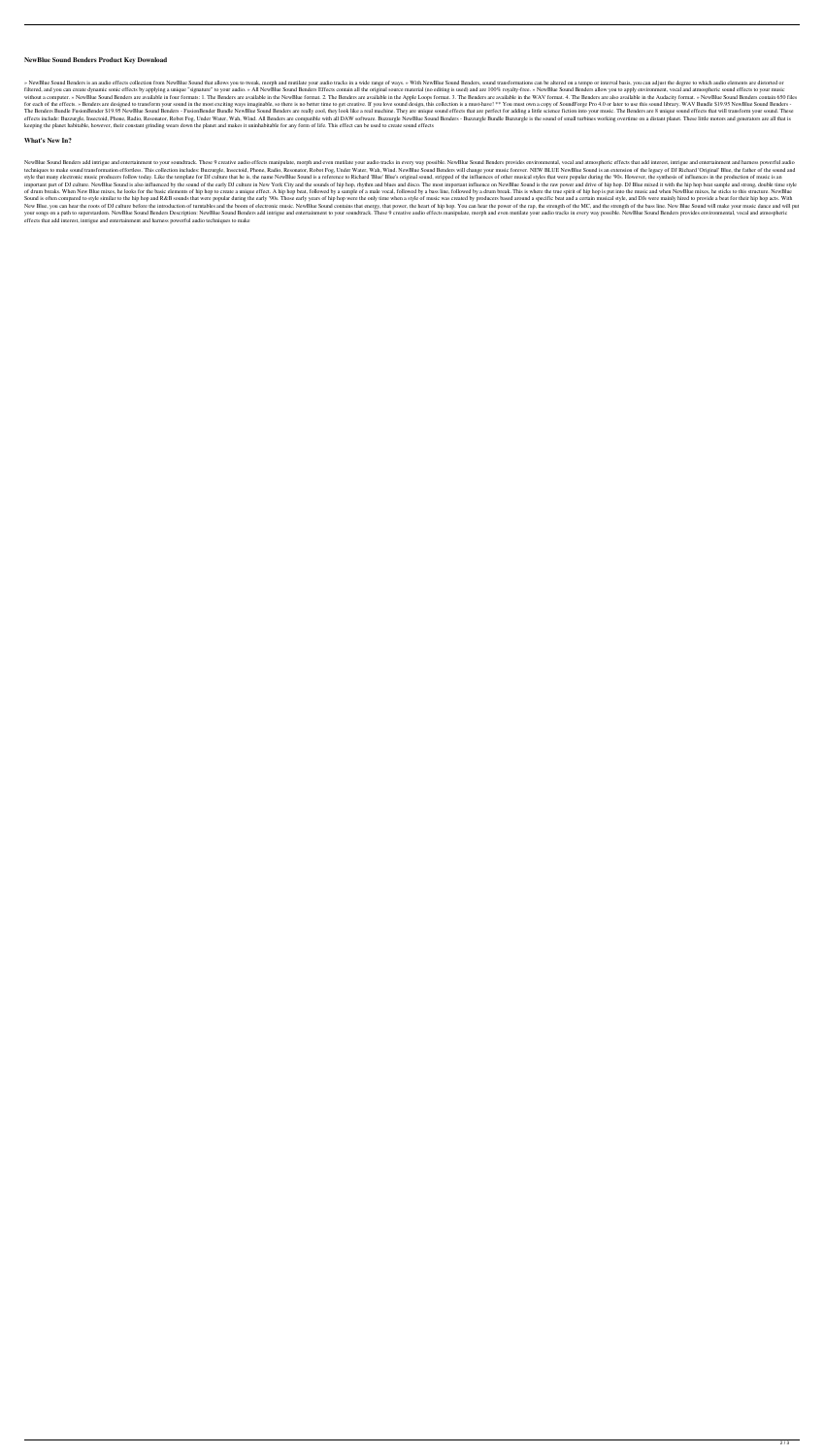## **NewBlue Sound Benders Product Key Download**

» NewBlue Sound Benders is an audio effects collection from NewBlue Sound that allows you to tweak, morph and mutilate your audio tracks in a wide range of ways. » With NewBlue Sound Benders, sound transformations can be a filtered, and you can create dynamic sonic effects by applying a unique "signature" to your audio. » All NewBlue Sound Benders Effects contain all the original source material (no editing is used) and are 100% royalty-free without a computer. » NewBlue Sound Benders are available in four formats: 1. The Benders are available in the NewBlue format. 2. The Benders are available in the Apple Loops format. 3. The Benders are available in the WAV for each of the effects. » Benders are designed to transform your sound in the most exciting ways imaginable, so there is no better time to get creative. If you love sound design, this collection is a must-have! \*\* You mus The Benders Bundle FusionBender \$19.95 NewBlue Sound Benders - FusionBender Bundle NewBlue Sound Benders are really cool, they look like a real machine. They are unique sound effects that are perfect for adding a little sc effects include: Buzzurgle, Insectoid, Phone, Radio, Resonator, Robot Fog, Under Water, Wah, Wind. All Benders are compatible with all DAW software. Buzzurgle NewBlue Sound Benders - Buzzurgle Bundle Buzzurgle is the sound keeping the planet habitable, however, their constant grinding wears down the planet and makes it uninhabitable for any form of life. This effect can be used to create sound effects

### **What's New In?**

NewBlue Sound Benders add intrigue and entertainment to your soundtrack. These 9 creative audio effects manipulate, morph and even mutilate your audio tracks in every way possible. NewBlue Sound Benders provides environmen techniques to make sound transformation effortless. This collection includes: Buzzurgle, Insectoid, Phone, Radio, Resonator, Robot Fog, Under Water, Wah, Wind. NewBlue Sound Benders will change your music forever. NEW BLUE style that many electronic music producers follow today. Like the template for DJ culture that he is, the name NewBlue Sound is a reference to Richard 'Blue' Bue's original sound, stripped of the influences of other musica important part of DJ culture. NewBlue Sound is also influenced by the sound of the early DJ culture in New York City and the sounds of hip hop, rhythm and blues and disco. The most important influence on NewBlue Sound is t of drum breaks. When New Blue mixes, he looks for the basic elements of hip hop to create a unique effect. A hip hop beat, followed by a sample of a male vocal, followed by a bass line, followed by a drum break. This is wh Sound is often compared to style similar to the hip hop and R&B sounds that were popular during the early '90s. Those early years of hip hop were the only time when a style of music was created by producers based around a New Blue, you can hear the roots of DJ culture before the introduction of turntables and the boom of electronic music. NewBlue Sound contains that energy, that power, the heart of hip hop. You can hear the power of the rap your songs on a path to superstardom. NewBlue Sound Benders Description: NewBlue Sound Benders add intrigue and entertainment to your soundtrack. These 9 creative audio effects manipulate, morph and even mutilate your audi effects that add interest, intrigue and entertainment and harness powerful audio techniques to make